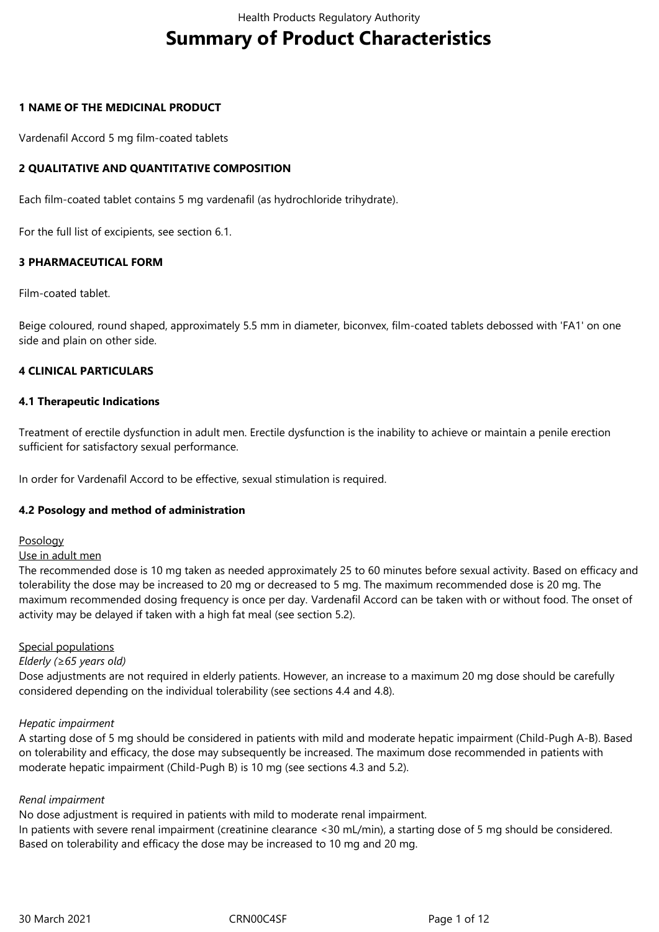# **Summary of Product Characteristics**

#### **1 NAME OF THE MEDICINAL PRODUCT**

Vardenafil Accord 5 mg film-coated tablets

#### **2 QUALITATIVE AND QUANTITATIVE COMPOSITION**

Each film-coated tablet contains 5 mg vardenafil (as hydrochloride trihydrate).

For the full list of excipients, see section 6.1.

#### **3 PHARMACEUTICAL FORM**

Film-coated tablet.

Beige coloured, round shaped, approximately 5.5 mm in diameter, biconvex, film-coated tablets debossed with 'FA1' on one side and plain on other side.

#### **4 CLINICAL PARTICULARS**

#### **4.1 Therapeutic Indications**

Treatment of erectile dysfunction in adult men. Erectile dysfunction is the inability to achieve or maintain a penile erection sufficient for satisfactory sexual performance.

In order for Vardenafil Accord to be effective, sexual stimulation is required.

#### **4.2 Posology and method of administration**

Posology

#### Use in adult men

The recommended dose is 10 mg taken as needed approximately 25 to 60 minutes before sexual activity. Based on efficacy and tolerability the dose may be increased to 20 mg or decreased to 5 mg. The maximum recommended dose is 20 mg. The maximum recommended dosing frequency is once per day. Vardenafil Accord can be taken with or without food. The onset of activity may be delayed if taken with a high fat meal (see section 5.2).

#### Special populations

#### *Elderly (≥65 years old)*

Dose adjustments are not required in elderly patients. However, an increase to a maximum 20 mg dose should be carefully considered depending on the individual tolerability (see sections 4.4 and 4.8).

#### *Hepatic impairment*

A starting dose of 5 mg should be considered in patients with mild and moderate hepatic impairment (Child-Pugh A-B). Based on tolerability and efficacy, the dose may subsequently be increased. The maximum dose recommended in patients with moderate hepatic impairment (Child-Pugh B) is 10 mg (see sections 4.3 and 5.2).

#### *Renal impairment*

No dose adjustment is required in patients with mild to moderate renal impairment. In patients with severe renal impairment (creatinine clearance <30 mL/min), a starting dose of 5 mg should be considered. Based on tolerability and efficacy the dose may be increased to 10 mg and 20 mg.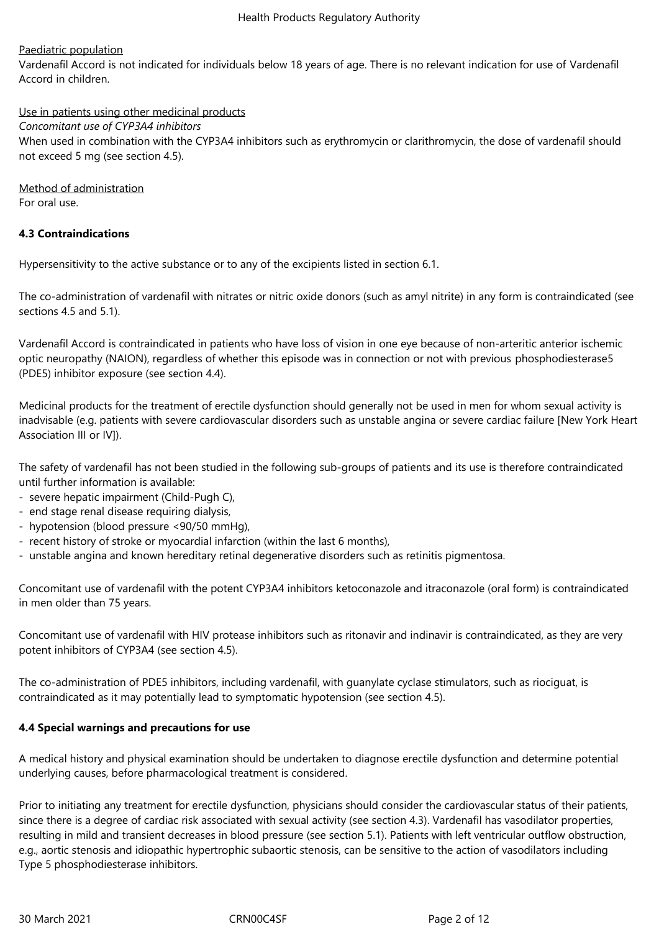# Paediatric population

Vardenafil Accord is not indicated for individuals below 18 years of age. There is no relevant indication for use of Vardenafil Accord in children.

Use in patients using other medicinal products *Concomitant use of CYP3A4 inhibitors* When used in combination with the CYP3A4 inhibitors such as erythromycin or clarithromycin, the dose of vardenafil should not exceed 5 mg (see section 4.5).

Method of administration For oral use.

# **4.3 Contraindications**

Hypersensitivity to the active substance or to any of the excipients listed in section 6.1.

The co-administration of vardenafil with nitrates or nitric oxide donors (such as amyl nitrite) in any form is contraindicated (see sections 4.5 and 5.1).

Vardenafil Accord is contraindicated in patients who have loss of vision in one eye because of non‑arteritic anterior ischemic optic neuropathy (NAION), regardless of whether this episode was in connection or not with previous phosphodiesterase5 (PDE5) inhibitor exposure (see section 4.4).

Medicinal products for the treatment of erectile dysfunction should generally not be used in men for whom sexual activity is inadvisable (e.g. patients with severe cardiovascular disorders such as unstable angina or severe cardiac failure [New York Heart Association III or IV]).

The safety of vardenafil has not been studied in the following sub‑groups of patients and its use is therefore contraindicated until further information is available:

- severe hepatic impairment (Child-Pugh C),
- end stage renal disease requiring dialysis,
- hypotension (blood pressure <90/50 mmHg),
- recent history of stroke or myocardial infarction (within the last 6 months),
- unstable angina and known hereditary retinal degenerative disorders such as retinitis pigmentosa.

Concomitant use of vardenafil with the potent CYP3A4 inhibitors ketoconazole and itraconazole (oral form) is contraindicated in men older than 75 years.

Concomitant use of vardenafil with HIV protease inhibitors such as ritonavir and indinavir is contraindicated, as they are very potent inhibitors of CYP3A4 (see section 4.5).

The co-administration of PDE5 inhibitors, including vardenafil, with guanylate cyclase stimulators, such as riociguat, is contraindicated as it may potentially lead to symptomatic hypotension (see section 4.5).

#### **4.4 Special warnings and precautions for use**

A medical history and physical examination should be undertaken to diagnose erectile dysfunction and determine potential underlying causes, before pharmacological treatment is considered.

Prior to initiating any treatment for erectile dysfunction, physicians should consider the cardiovascular status of their patients, since there is a degree of cardiac risk associated with sexual activity (see section 4.3). Vardenafil has vasodilator properties, resulting in mild and transient decreases in blood pressure (see section 5.1). Patients with left ventricular outflow obstruction, e.g., aortic stenosis and idiopathic hypertrophic subaortic stenosis, can be sensitive to the action of vasodilators including Type 5 phosphodiesterase inhibitors.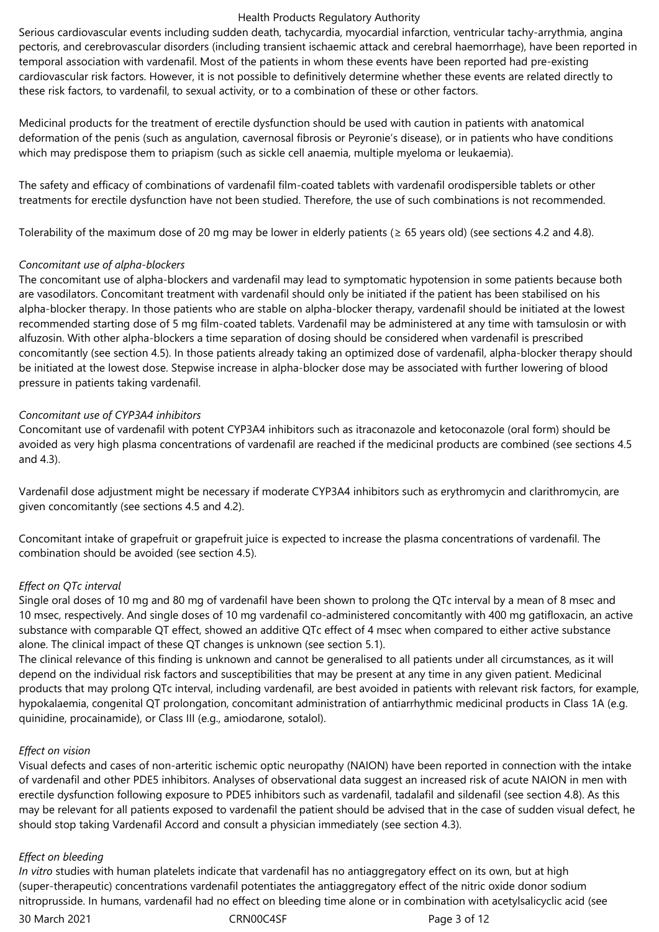Serious cardiovascular events including sudden death, tachycardia, myocardial infarction, ventricular tachy-arrythmia, angina pectoris, and cerebrovascular disorders (including transient ischaemic attack and cerebral haemorrhage), have been reported in temporal association with vardenafil. Most of the patients in whom these events have been reported had pre-existing cardiovascular risk factors. However, it is not possible to definitively determine whether these events are related directly to these risk factors, to vardenafil, to sexual activity, or to a combination of these or other factors.

Medicinal products for the treatment of erectile dysfunction should be used with caution in patients with anatomical deformation of the penis (such as angulation, cavernosal fibrosis or Peyronie's disease), or in patients who have conditions which may predispose them to priapism (such as sickle cell anaemia, multiple myeloma or leukaemia).

The safety and efficacy of combinations of vardenafil film-coated tablets with vardenafil orodispersible tablets or other treatments for erectile dysfunction have not been studied. Therefore, the use of such combinations is not recommended.

Tolerability of the maximum dose of 20 mg may be lower in elderly patients ( $\geq$  65 years old) (see sections 4.2 and 4.8).

#### *Concomitant use of alpha‑blockers*

The concomitant use of alpha-blockers and vardenafil may lead to symptomatic hypotension in some patients because both are vasodilators. Concomitant treatment with vardenafil should only be initiated if the patient has been stabilised on his alpha-blocker therapy. In those patients who are stable on alpha-blocker therapy, vardenafil should be initiated at the lowest recommended starting dose of 5 mg film-coated tablets. Vardenafil may be administered at any time with tamsulosin or with alfuzosin. With other alpha‑blockers a time separation of dosing should be considered when vardenafil is prescribed concomitantly (see section 4.5). In those patients already taking an optimized dose of vardenafil, alpha‑blocker therapy should be initiated at the lowest dose. Stepwise increase in alpha‑blocker dose may be associated with further lowering of blood pressure in patients taking vardenafil.

#### *Concomitant use of CYP3A4 inhibitors*

Concomitant use of vardenafil with potent CYP3A4 inhibitors such as itraconazole and ketoconazole (oral form) should be avoided as very high plasma concentrations of vardenafil are reached if the medicinal products are combined (see sections 4.5 and 4.3).

Vardenafil dose adjustment might be necessary if moderate CYP3A4 inhibitors such as erythromycin and clarithromycin, are given concomitantly (see sections 4.5 and 4.2).

Concomitant intake of grapefruit or grapefruit juice is expected to increase the plasma concentrations of vardenafil. The combination should be avoided (see section 4.5).

# *Effect on QTc interval*

Single oral doses of 10 mg and 80 mg of vardenafil have been shown to prolong the QTc interval by a mean of 8 msec and 10 msec, respectively. And single doses of 10 mg vardenafil co‑administered concomitantly with 400 mg gatifloxacin, an active substance with comparable QT effect, showed an additive QTc effect of 4 msec when compared to either active substance alone. The clinical impact of these QT changes is unknown (see section 5.1).

The clinical relevance of this finding is unknown and cannot be generalised to all patients under all circumstances, as it will depend on the individual risk factors and susceptibilities that may be present at any time in any given patient. Medicinal products that may prolong QTc interval, including vardenafil, are best avoided in patients with relevant risk factors, for example, hypokalaemia, congenital QT prolongation, concomitant administration of antiarrhythmic medicinal products in Class 1A (e.g. quinidine, procainamide), or Class III (e.g., amiodarone, sotalol).

#### *Effect on vision*

Visual defects and cases of non‑arteritic ischemic optic neuropathy (NAION) have been reported in connection with the intake of vardenafil and other PDE5 inhibitors. Analyses of observational data suggest an increased risk of acute NAION in men with erectile dysfunction following exposure to PDE5 inhibitors such as vardenafil, tadalafil and sildenafil (see section 4.8). As this may be relevant for all patients exposed to vardenafil the patient should be advised that in the case of sudden visual defect, he should stop taking Vardenafil Accord and consult a physician immediately (see section 4.3).

#### *Effect on bleeding*

*In vitro* studies with human platelets indicate that vardenafil has no antiaggregatory effect on its own, but at high (super‑therapeutic) concentrations vardenafil potentiates the antiaggregatory effect of the nitric oxide donor sodium nitroprusside. In humans, vardenafil had no effect on bleeding time alone or in combination with acetylsalicyclic acid (see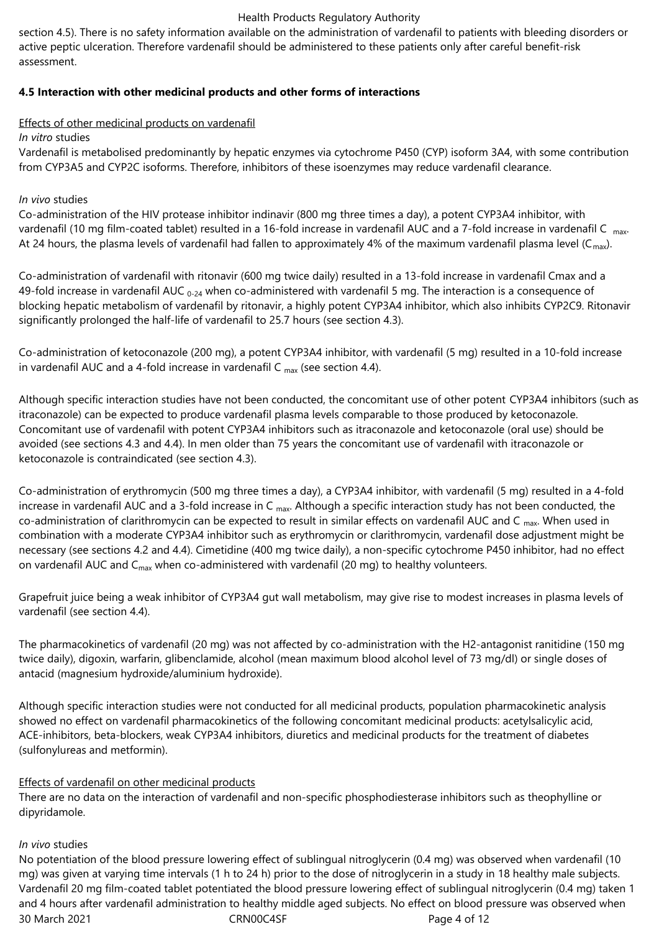section 4.5). There is no safety information available on the administration of vardenafil to patients with bleeding disorders or active peptic ulceration. Therefore vardenafil should be administered to these patients only after careful benefit-risk assessment.

# **4.5 Interaction with other medicinal products and other forms of interactions**

# Effects of other medicinal products on vardenafil

# *In vitro* studies

Vardenafil is metabolised predominantly by hepatic enzymes via cytochrome P450 (CYP) isoform 3A4, with some contribution from CYP3A5 and CYP2C isoforms. Therefore, inhibitors of these isoenzymes may reduce vardenafil clearance.

# *In vivo* studies

Co‑administration of the HIV protease inhibitor indinavir (800 mg three times a day), a potent CYP3A4 inhibitor, with vardenafil (10 mg film-coated tablet) resulted in a 16-fold increase in vardenafil AUC and a 7-fold increase in vardenafil C <sub>max</sub>. At 24 hours, the plasma levels of vardenafil had fallen to approximately 4% of the maximum vardenafil plasma level ( $C_{max}$ ).

Co‑administration of vardenafil with ritonavir (600 mg twice daily) resulted in a 13‑fold increase in vardenafil Cmax and a 49-fold increase in vardenafil AUC  $_{0.24}$  when co-administered with vardenafil 5 mg. The interaction is a consequence of blocking hepatic metabolism of vardenafil by ritonavir, a highly potent CYP3A4 inhibitor, which also inhibits CYP2C9. Ritonavir significantly prolonged the half-life of vardenafil to 25.7 hours (see section 4.3).

Co‑administration of ketoconazole (200 mg), a potent CYP3A4 inhibitor, with vardenafil (5 mg) resulted in a 10‑fold increase in vardenafil AUC and a 4-fold increase in vardenafil C  $_{max}$  (see section 4.4).

Although specific interaction studies have not been conducted, the concomitant use of other potent CYP3A4 inhibitors (such as itraconazole) can be expected to produce vardenafil plasma levels comparable to those produced by ketoconazole. Concomitant use of vardenafil with potent CYP3A4 inhibitors such as itraconazole and ketoconazole (oral use) should be avoided (see sections 4.3 and 4.4). In men older than 75 years the concomitant use of vardenafil with itraconazole or ketoconazole is contraindicated (see section 4.3).

Co‑administration of erythromycin (500 mg three times a day), a CYP3A4 inhibitor, with vardenafil (5 mg) resulted in a 4‑fold increase in vardenafil AUC and a 3-fold increase in C  $_{\text{max}}$ . Although a specific interaction study has not been conducted, the co-administration of clarithromycin can be expected to result in similar effects on vardenafil AUC and C  $_{\text{max}}$ . When used in combination with a moderate CYP3A4 inhibitor such as erythromycin or clarithromycin, vardenafil dose adjustment might be necessary (see sections 4.2 and 4.4). Cimetidine (400 mg twice daily), a non-specific cytochrome P450 inhibitor, had no effect on vardenafil AUC and  $C_{\text{max}}$  when co-administered with vardenafil (20 mg) to healthy volunteers.

Grapefruit juice being a weak inhibitor of CYP3A4 gut wall metabolism, may give rise to modest increases in plasma levels of vardenafil (see section 4.4).

The pharmacokinetics of vardenafil (20 mg) was not affected by co-administration with the H2-antagonist ranitidine (150 mg) twice daily), digoxin, warfarin, glibenclamide, alcohol (mean maximum blood alcohol level of 73 mg/dl) or single doses of antacid (magnesium hydroxide/aluminium hydroxide).

Although specific interaction studies were not conducted for all medicinal products, population pharmacokinetic analysis showed no effect on vardenafil pharmacokinetics of the following concomitant medicinal products: acetylsalicylic acid, ACE‑inhibitors, beta‑blockers, weak CYP3A4 inhibitors, diuretics and medicinal products for the treatment of diabetes (sulfonylureas and metformin).

# Effects of vardenafil on other medicinal products

There are no data on the interaction of vardenafil and non-specific phosphodiesterase inhibitors such as theophylline or dipyridamole.

# *In vivo* studies

30 March 2021 CRN00C4SF Page 4 of 12 No potentiation of the blood pressure lowering effect of sublingual nitroglycerin (0.4 mg) was observed when vardenafil (10 mg) was given at varying time intervals (1 h to 24 h) prior to the dose of nitroglycerin in a study in 18 healthy male subjects. Vardenafil 20 mg film-coated tablet potentiated the blood pressure lowering effect of sublingual nitroglycerin (0.4 mg) taken 1 and 4 hours after vardenafil administration to healthy middle aged subjects. No effect on blood pressure was observed when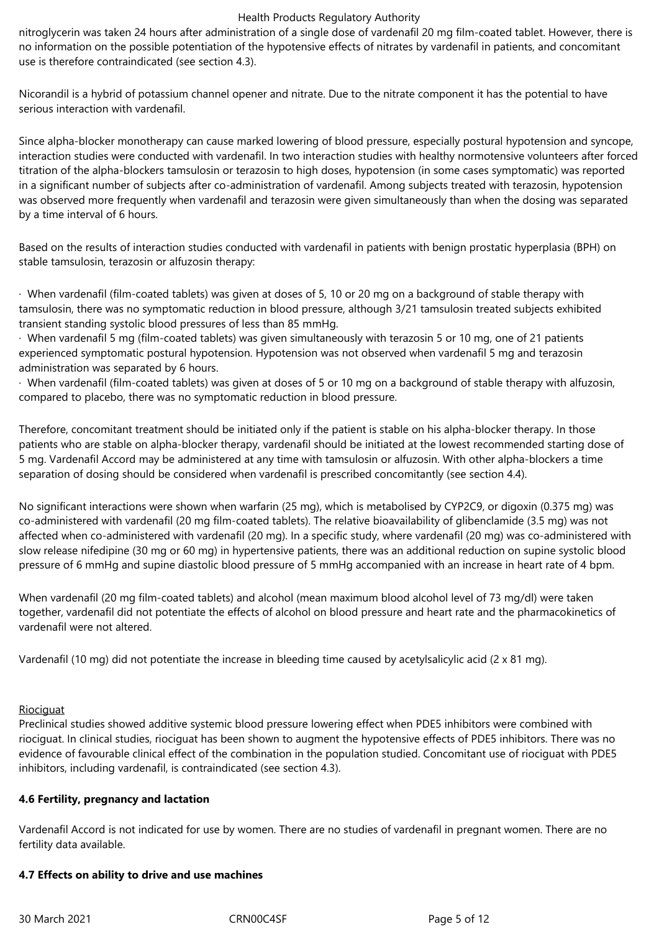nitroglycerin was taken 24 hours after administration of a single dose of vardenafil 20 mg film-coated tablet. However, there is no information on the possible potentiation of the hypotensive effects of nitrates by vardenafil in patients, and concomitant use is therefore contraindicated (see section 4.3).

Nicorandil is a hybrid of potassium channel opener and nitrate. Due to the nitrate component it has the potential to have serious interaction with vardenafil.

Since alpha-blocker monotherapy can cause marked lowering of blood pressure, especially postural hypotension and syncope, interaction studies were conducted with vardenafil. In two interaction studies with healthy normotensive volunteers after forced titration of the alpha‑blockers tamsulosin or terazosin to high doses, hypotension (in some cases symptomatic) was reported in a significant number of subjects after co‑administration of vardenafil. Among subjects treated with terazosin, hypotension was observed more frequently when vardenafil and terazosin were given simultaneously than when the dosing was separated by a time interval of 6 hours.

Based on the results of interaction studies conducted with vardenafil in patients with benign prostatic hyperplasia (BPH) on stable tamsulosin, terazosin or alfuzosin therapy:

· When vardenafil (film-coated tablets) was given at doses of 5, 10 or 20 mg on a background of stable therapy with tamsulosin, there was no symptomatic reduction in blood pressure, although 3/21 tamsulosin treated subjects exhibited transient standing systolic blood pressures of less than 85 mmHg.

· When vardenafil 5 mg (film-coated tablets) was given simultaneously with terazosin 5 or 10 mg, one of 21 patients experienced symptomatic postural hypotension. Hypotension was not observed when vardenafil 5 mg and terazosin administration was separated by 6 hours.

· When vardenafil (film-coated tablets) was given at doses of 5 or 10 mg on a background of stable therapy with alfuzosin, compared to placebo, there was no symptomatic reduction in blood pressure.

Therefore, concomitant treatment should be initiated only if the patient is stable on his alpha-blocker therapy. In those patients who are stable on alpha‑blocker therapy, vardenafil should be initiated at the lowest recommended starting dose of 5 mg. Vardenafil Accord may be administered at any time with tamsulosin or alfuzosin. With other alpha‑blockers a time separation of dosing should be considered when vardenafil is prescribed concomitantly (see section 4.4).

No significant interactions were shown when warfarin (25 mg), which is metabolised by CYP2C9, or digoxin (0.375 mg) was co‑administered with vardenafil (20 mg film-coated tablets). The relative bioavailability of glibenclamide (3.5 mg) was not affected when co-administered with vardenafil (20 mg). In a specific study, where vardenafil (20 mg) was co-administered with slow release nifedipine (30 mg or 60 mg) in hypertensive patients, there was an additional reduction on supine systolic blood pressure of 6 mmHg and supine diastolic blood pressure of 5 mmHg accompanied with an increase in heart rate of 4 bpm.

When vardenafil (20 mg film-coated tablets) and alcohol (mean maximum blood alcohol level of 73 mg/dl) were taken together, vardenafil did not potentiate the effects of alcohol on blood pressure and heart rate and the pharmacokinetics of vardenafil were not altered.

Vardenafil (10 mg) did not potentiate the increase in bleeding time caused by acetylsalicylic acid (2 x 81 mg).

#### **Riociguat**

Preclinical studies showed additive systemic blood pressure lowering effect when PDE5 inhibitors were combined with riociguat. In clinical studies, riociguat has been shown to augment the hypotensive effects of PDE5 inhibitors. There was no evidence of favourable clinical effect of the combination in the population studied. Concomitant use of riociguat with PDE5 inhibitors, including vardenafil, is contraindicated (see section 4.3).

#### **4.6 Fertility, pregnancy and lactation**

Vardenafil Accord is not indicated for use by women. There are no studies of vardenafil in pregnant women. There are no fertility data available.

#### **4.7 Effects on ability to drive and use machines**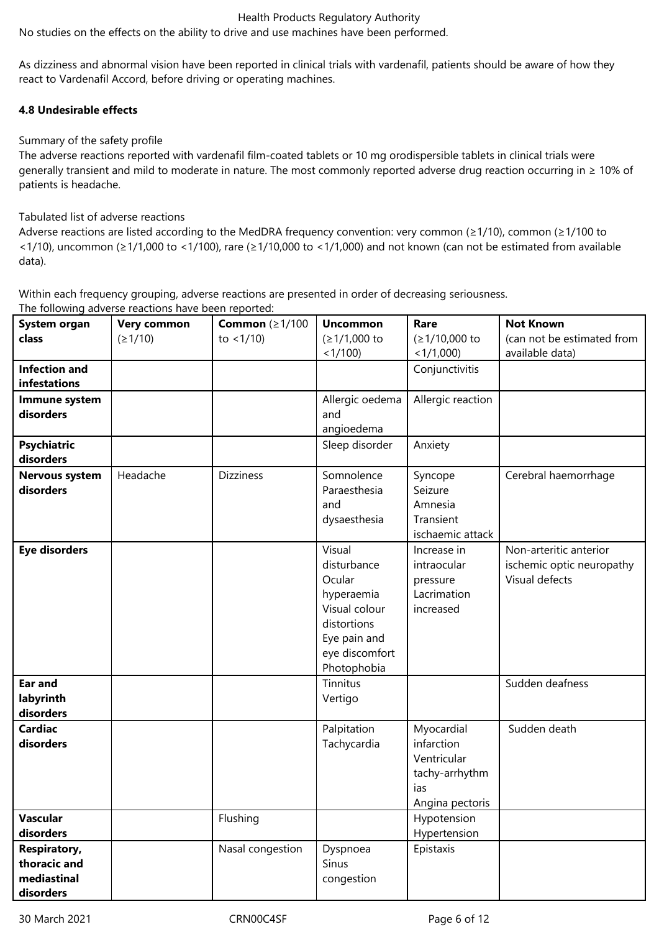No studies on the effects on the ability to drive and use machines have been performed.

As dizziness and abnormal vision have been reported in clinical trials with vardenafil, patients should be aware of how they react to Vardenafil Accord, before driving or operating machines.

# **4.8 Undesirable effects**

# Summary of the safety profile

The adverse reactions reported with vardenafil film-coated tablets or 10 mg orodispersible tablets in clinical trials were generally transient and mild to moderate in nature. The most commonly reported adverse drug reaction occurring in ≥ 10% of patients is headache.

# Tabulated list of adverse reactions

Adverse reactions are listed according to the MedDRA frequency convention: very common (≥1/10), common (≥1/100 to <1/10), uncommon (≥1/1,000 to <1/100), rare (≥1/10,000 to <1/1,000) and not known (can not be estimated from available data).

Within each frequency grouping, adverse reactions are presented in order of decreasing seriousness.

| System organ          | Very common | Common $(\geq 1/100$ | <b>Uncommon</b> | Rare              | <b>Not Known</b>           |
|-----------------------|-------------|----------------------|-----------------|-------------------|----------------------------|
| class                 | (21/10)     | to $< 1/10$ )        | (≥1/1,000 to    | (≥1/10,000 to     | (can not be estimated from |
|                       |             |                      | $<1/100$ )      | $<1/1,000$ )      | available data)            |
| <b>Infection and</b>  |             |                      |                 | Conjunctivitis    |                            |
| infestations          |             |                      |                 |                   |                            |
| Immune system         |             |                      | Allergic oedema | Allergic reaction |                            |
| disorders             |             |                      | and             |                   |                            |
|                       |             |                      | angioedema      |                   |                            |
| <b>Psychiatric</b>    |             |                      | Sleep disorder  | Anxiety           |                            |
| disorders             |             |                      |                 |                   |                            |
| <b>Nervous system</b> | Headache    | <b>Dizziness</b>     | Somnolence      | Syncope           | Cerebral haemorrhage       |
| disorders             |             |                      | Paraesthesia    | Seizure           |                            |
|                       |             |                      | and             | Amnesia           |                            |
|                       |             |                      | dysaesthesia    | Transient         |                            |
|                       |             |                      |                 | ischaemic attack  |                            |
| <b>Eye disorders</b>  |             |                      | Visual          | Increase in       | Non-arteritic anterior     |
|                       |             |                      | disturbance     | intraocular       | ischemic optic neuropathy  |
|                       |             |                      | Ocular          | pressure          | Visual defects             |
|                       |             |                      | hyperaemia      | Lacrimation       |                            |
|                       |             |                      | Visual colour   | increased         |                            |
|                       |             |                      | distortions     |                   |                            |
|                       |             |                      | Eye pain and    |                   |                            |
|                       |             |                      | eye discomfort  |                   |                            |
|                       |             |                      | Photophobia     |                   |                            |
| Ear and               |             |                      | Tinnitus        |                   | Sudden deafness            |
| labyrinth             |             |                      | Vertigo         |                   |                            |
| disorders             |             |                      |                 |                   |                            |
| <b>Cardiac</b>        |             |                      | Palpitation     | Myocardial        | Sudden death               |
| disorders             |             |                      |                 | infarction        |                            |
|                       |             |                      | Tachycardia     | Ventricular       |                            |
|                       |             |                      |                 |                   |                            |
|                       |             |                      |                 | tachy-arrhythm    |                            |
|                       |             |                      |                 | ias               |                            |
|                       |             |                      |                 | Angina pectoris   |                            |
| <b>Vascular</b>       |             | Flushing             |                 | Hypotension       |                            |
| disorders             |             |                      |                 | Hypertension      |                            |
| Respiratory,          |             | Nasal congestion     | Dyspnoea        | Epistaxis         |                            |
| thoracic and          |             |                      | Sinus           |                   |                            |
| mediastinal           |             |                      | congestion      |                   |                            |
| disorders             |             |                      |                 |                   |                            |

30 March 2021 **CRN00C4SF** CRN00C4SF Page 6 of 12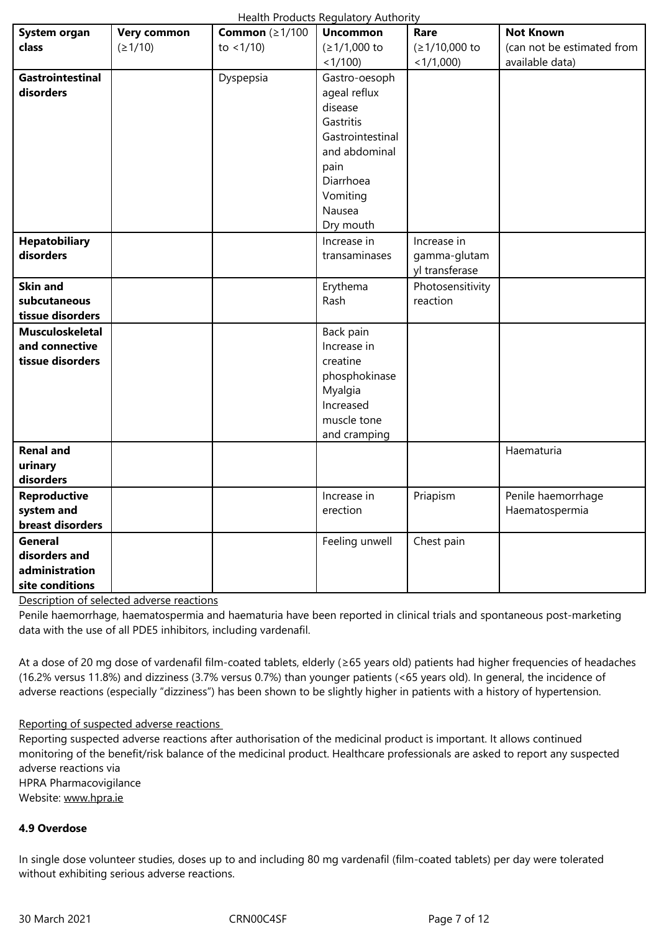|                         |           | <1/100           | < 1/1,000        | available data)    |
|-------------------------|-----------|------------------|------------------|--------------------|
| <b>Gastrointestinal</b> | Dyspepsia | Gastro-oesoph    |                  |                    |
| disorders               |           | ageal reflux     |                  |                    |
|                         |           | disease          |                  |                    |
|                         |           | Gastritis        |                  |                    |
|                         |           | Gastrointestinal |                  |                    |
|                         |           | and abdominal    |                  |                    |
|                         |           | pain             |                  |                    |
|                         |           | Diarrhoea        |                  |                    |
|                         |           | Vomiting         |                  |                    |
|                         |           | Nausea           |                  |                    |
|                         |           | Dry mouth        |                  |                    |
| <b>Hepatobiliary</b>    |           | Increase in      | Increase in      |                    |
| disorders               |           | transaminases    | gamma-glutam     |                    |
|                         |           |                  | yl transferase   |                    |
| <b>Skin and</b>         |           | Erythema         | Photosensitivity |                    |
| subcutaneous            |           | Rash             | reaction         |                    |
| tissue disorders        |           |                  |                  |                    |
| <b>Musculoskeletal</b>  |           | Back pain        |                  |                    |
| and connective          |           | Increase in      |                  |                    |
| tissue disorders        |           | creatine         |                  |                    |
|                         |           | phosphokinase    |                  |                    |
|                         |           | Myalgia          |                  |                    |
|                         |           | Increased        |                  |                    |
|                         |           | muscle tone      |                  |                    |
|                         |           | and cramping     |                  |                    |
| <b>Renal and</b>        |           |                  |                  | Haematuria         |
| urinary                 |           |                  |                  |                    |
| disorders               |           |                  |                  |                    |
| <b>Reproductive</b>     |           | Increase in      | Priapism         | Penile haemorrhage |
| system and              |           | erection         |                  | Haematospermia     |
| breast disorders        |           |                  |                  |                    |
| <b>General</b>          |           | Feeling unwell   | Chest pain       |                    |
| disorders and           |           |                  |                  |                    |
| administration          |           |                  |                  |                    |
| site conditions         |           |                  |                  |                    |
|                         |           |                  |                  |                    |

Description of selected adverse reactions

Penile haemorrhage, haematospermia and haematuria have been reported in clinical trials and spontaneous post-marketing data with the use of all PDE5 inhibitors, including vardenafil.

At a dose of 20 mg dose of vardenafil film-coated tablets, elderly (≥65 years old) patients had higher frequencies of headaches (16.2% versus 11.8%) and dizziness (3.7% versus 0.7%) than younger patients (<65 years old). In general, the incidence of adverse reactions (especially "dizziness") has been shown to be slightly higher in patients with a history of hypertension.

#### Reporting of suspected adverse reactions

Reporting suspected adverse reactions after authorisation of the medicinal product is important. It allows continued monitoring of the benefit/risk balance of the medicinal product. Healthcare professionals are asked to report any suspected adverse reactions via HPRA Pharmacovigilance Website: www.hpra.ie

#### **4.9 Overdose**

In single [dose volunte](http://www.hpra.ie/)er studies, doses up to and including 80 mg vardenafil (film-coated tablets) per day were tolerated without exhibiting serious adverse reactions.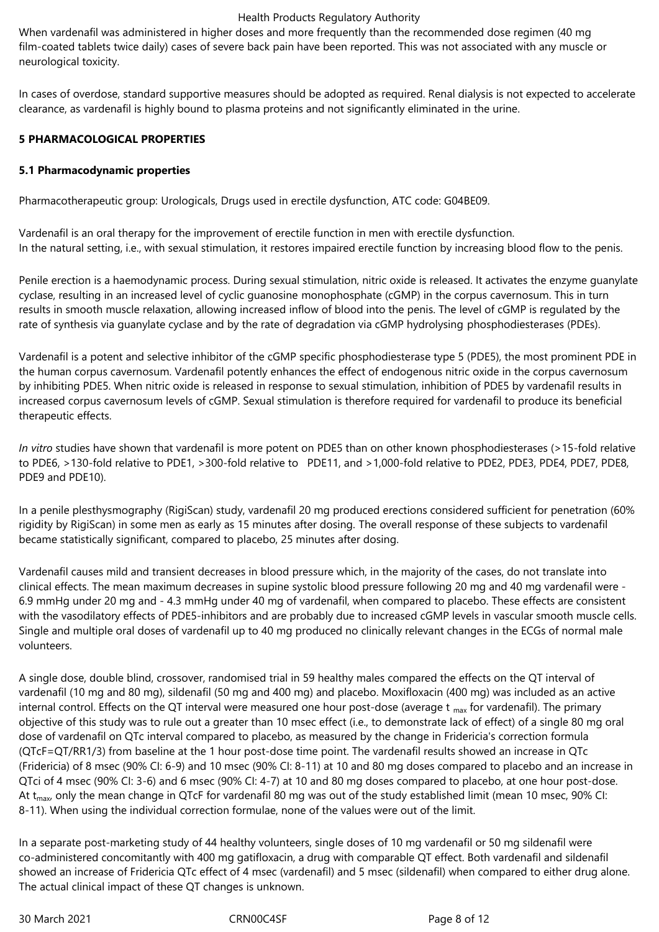When vardenafil was administered in higher doses and more frequently than the recommended dose regimen (40 mg) film-coated tablets twice daily) cases of severe back pain have been reported. This was not associated with any muscle or neurological toxicity.

In cases of overdose, standard supportive measures should be adopted as required. Renal dialysis is not expected to accelerate clearance, as vardenafil is highly bound to plasma proteins and not significantly eliminated in the urine.

#### **5 PHARMACOLOGICAL PROPERTIES**

#### **5.1 Pharmacodynamic properties**

Pharmacotherapeutic group: Urologicals, Drugs used in erectile dysfunction, ATC code: G04BE09.

Vardenafil is an oral therapy for the improvement of erectile function in men with erectile dysfunction. In the natural setting, i.e., with sexual stimulation, it restores impaired erectile function by increasing blood flow to the penis.

Penile erection is a haemodynamic process. During sexual stimulation, nitric oxide is released. It activates the enzyme guanylate cyclase, resulting in an increased level of cyclic guanosine monophosphate (cGMP) in the corpus cavernosum. This in turn results in smooth muscle relaxation, allowing increased inflow of blood into the penis. The level of cGMP is regulated by the rate of synthesis via guanylate cyclase and by the rate of degradation via cGMP hydrolysing phosphodiesterases (PDEs).

Vardenafil is a potent and selective inhibitor of the cGMP specific phosphodiesterase type 5 (PDE5), the most prominent PDE in the human corpus cavernosum. Vardenafil potently enhances the effect of endogenous nitric oxide in the corpus cavernosum by inhibiting PDE5. When nitric oxide is released in response to sexual stimulation, inhibition of PDE5 by vardenafil results in increased corpus cavernosum levels of cGMP. Sexual stimulation is therefore required for vardenafil to produce its beneficial therapeutic effects.

*In vitro* studies have shown that vardenafil is more potent on PDE5 than on other known phosphodiesterases (>15‑fold relative to PDE6, >130-fold relative to PDE1, >300-fold relative to PDE11, and >1,000-fold relative to PDE2, PDE3, PDE4, PDE7, PDE8, PDE9 and PDE10).

In a penile plesthysmography (RigiScan) study, vardenafil 20 mg produced erections considered sufficient for penetration (60% rigidity by RigiScan) in some men as early as 15 minutes after dosing. The overall response of these subjects to vardenafil became statistically significant, compared to placebo, 25 minutes after dosing.

Vardenafil causes mild and transient decreases in blood pressure which, in the majority of the cases, do not translate into clinical effects. The mean maximum decreases in supine systolic blood pressure following 20 mg and 40 mg vardenafil were - 6.9 mmHg under 20 mg and - 4.3 mmHg under 40 mg of vardenafil, when compared to placebo. These effects are consistent with the vasodilatory effects of PDE5‑inhibitors and are probably due to increased cGMP levels in vascular smooth muscle cells. Single and multiple oral doses of vardenafil up to 40 mg produced no clinically relevant changes in the ECGs of normal male volunteers.

A single dose, double blind, crossover, randomised trial in 59 healthy males compared the effects on the QT interval of vardenafil (10 mg and 80 mg), sildenafil (50 mg and 400 mg) and placebo. Moxifloxacin (400 mg) was included as an active internal control. Effects on the QT interval were measured one hour post-dose (average t  $_{max}$  for vardenafil). The primary objective of this study was to rule out a greater than 10 msec effect (i.e., to demonstrate lack of effect) of a single 80 mg oral dose of vardenafil on QTc interval compared to placebo, as measured by the change in Fridericia's correction formula (QTcF=QT/RR1/3) from baseline at the 1 hour post‑dose time point. The vardenafil results showed an increase in QTc (Fridericia) of 8 msec (90% CI: 6‑9) and 10 msec (90% CI: 8-11) at 10 and 80 mg doses compared to placebo and an increase in QTci of 4 msec (90% CI: 3-6) and 6 msec (90% CI: 4-7) at 10 and 80 mg doses compared to placebo, at one hour post-dose. At t<sub>max</sub>, only the mean change in QTcF for vardenafil 80 mg was out of the study established limit (mean 10 msec, 90% CI: 8‑11). When using the individual correction formulae, none of the values were out of the limit.

In a separate post-marketing study of 44 healthy volunteers, single doses of 10 mg vardenafil or 50 mg sildenafil were co-administered concomitantly with 400 mg gatifloxacin, a drug with comparable QT effect. Both vardenafil and sildenafil showed an increase of Fridericia QTc effect of 4 msec (vardenafil) and 5 msec (sildenafil) when compared to either drug alone. The actual clinical impact of these QT changes is unknown.

30 March 2021 **CRN00C4SF** CRN00C4SF Page 8 of 12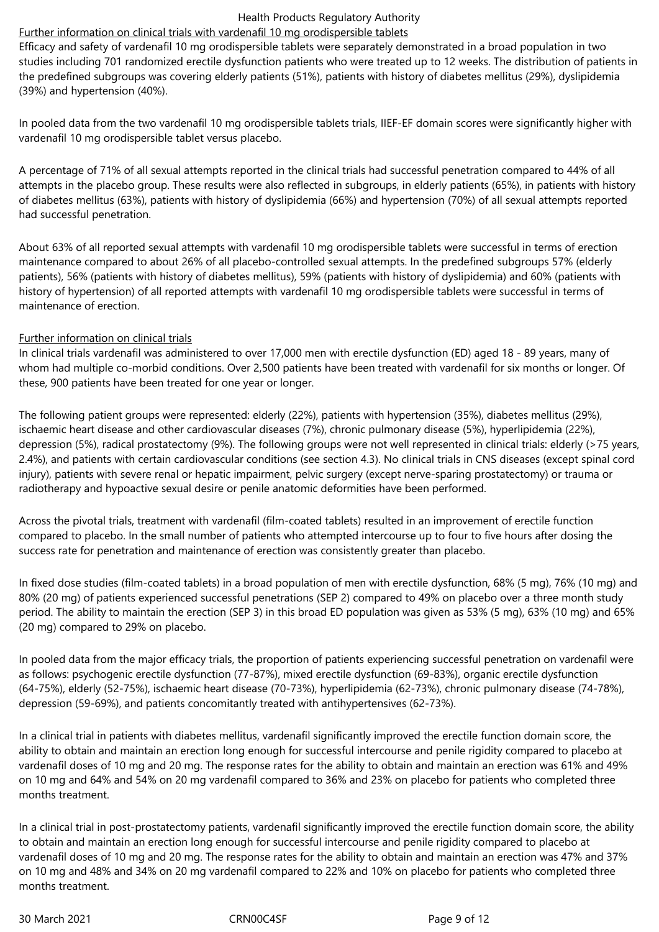## Further information on clinical trials with vardenafil 10 mg orodispersible tablets

Efficacy and safety of vardenafil 10 mg orodispersible tablets were separately demonstrated in a broad population in two studies including 701 randomized erectile dysfunction patients who were treated up to 12 weeks. The distribution of patients in the predefined subgroups was covering elderly patients (51%), patients with history of diabetes mellitus (29%), dyslipidemia (39%) and hypertension (40%).

In pooled data from the two vardenafil 10 mg orodispersible tablets trials, IIEF‑EF domain scores were significantly higher with vardenafil 10 mg orodispersible tablet versus placebo.

A percentage of 71% of all sexual attempts reported in the clinical trials had successful penetration compared to 44% of all attempts in the placebo group. These results were also reflected in subgroups, in elderly patients (65%), in patients with history of diabetes mellitus (63%), patients with history of dyslipidemia (66%) and hypertension (70%) of all sexual attempts reported had successful penetration.

About 63% of all reported sexual attempts with vardenafil 10 mg orodispersible tablets were successful in terms of erection maintenance compared to about 26% of all placebo-controlled sexual attempts. In the predefined subgroups 57% (elderly patients), 56% (patients with history of diabetes mellitus), 59% (patients with history of dyslipidemia) and 60% (patients with history of hypertension) of all reported attempts with vardenafil 10 mg orodispersible tablets were successful in terms of maintenance of erection.

#### Further information on clinical trials

In clinical trials vardenafil was administered to over 17,000 men with erectile dysfunction (ED) aged 18 ‑ 89 years, many of whom had multiple co-morbid conditions. Over 2,500 patients have been treated with vardenafil for six months or longer. Of these, 900 patients have been treated for one year or longer.

The following patient groups were represented: elderly (22%), patients with hypertension (35%), diabetes mellitus (29%), ischaemic heart disease and other cardiovascular diseases (7%), chronic pulmonary disease (5%), hyperlipidemia (22%), depression (5%), radical prostatectomy (9%). The following groups were not well represented in clinical trials: elderly (>75 years, 2.4%), and patients with certain cardiovascular conditions (see section 4.3). No clinical trials in CNS diseases (except spinal cord injury), patients with severe renal or hepatic impairment, pelvic surgery (except nerve-sparing prostatectomy) or trauma or radiotherapy and hypoactive sexual desire or penile anatomic deformities have been performed.

Across the pivotal trials, treatment with vardenafil (film-coated tablets) resulted in an improvement of erectile function compared to placebo. In the small number of patients who attempted intercourse up to four to five hours after dosing the success rate for penetration and maintenance of erection was consistently greater than placebo.

In fixed dose studies (film-coated tablets) in a broad population of men with erectile dysfunction, 68% (5 mg), 76% (10 mg) and 80% (20 mg) of patients experienced successful penetrations (SEP 2) compared to 49% on placebo over a three month study period. The ability to maintain the erection (SEP 3) in this broad ED population was given as 53% (5 mg), 63% (10 mg) and 65% (20 mg) compared to 29% on placebo.

In pooled data from the major efficacy trials, the proportion of patients experiencing successful penetration on vardenafil were as follows: psychogenic erectile dysfunction (77‑87%), mixed erectile dysfunction (69‑83%), organic erectile dysfunction (64‑75%), elderly (52‑75%), ischaemic heart disease (70‑73%), hyperlipidemia (62‑73%), chronic pulmonary disease (74‑78%), depression (59‑69%), and patients concomitantly treated with antihypertensives (62‑73%).

In a clinical trial in patients with diabetes mellitus, vardenafil significantly improved the erectile function domain score, the ability to obtain and maintain an erection long enough for successful intercourse and penile rigidity compared to placebo at vardenafil doses of 10 mg and 20 mg. The response rates for the ability to obtain and maintain an erection was 61% and 49% on 10 mg and 64% and 54% on 20 mg vardenafil compared to 36% and 23% on placebo for patients who completed three months treatment.

In a clinical trial in post-prostatectomy patients, vardenafil significantly improved the erectile function domain score, the ability to obtain and maintain an erection long enough for successful intercourse and penile rigidity compared to placebo at vardenafil doses of 10 mg and 20 mg. The response rates for the ability to obtain and maintain an erection was 47% and 37% on 10 mg and 48% and 34% on 20 mg vardenafil compared to 22% and 10% on placebo for patients who completed three months treatment.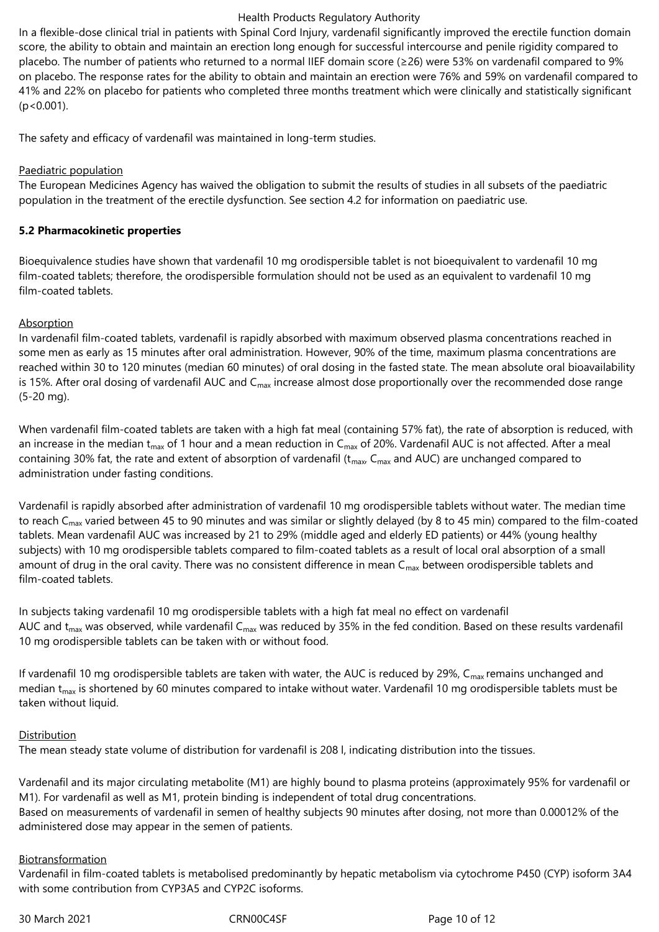In a flexible-dose clinical trial in patients with Spinal Cord Injury, vardenafil significantly improved the erectile function domain score, the ability to obtain and maintain an erection long enough for successful intercourse and penile rigidity compared to placebo. The number of patients who returned to a normal IIEF domain score (≥26) were 53% on vardenafil compared to 9% on placebo. The response rates for the ability to obtain and maintain an erection were 76% and 59% on vardenafil compared to 41% and 22% on placebo for patients who completed three months treatment which were clinically and statistically significant (p<0.001).

The safety and efficacy of vardenafil was maintained in long-term studies.

#### Paediatric population

The European Medicines Agency has waived the obligation to submit the results of studies in all subsets of the paediatric population in the treatment of the erectile dysfunction. See section 4.2 for information on paediatric use.

#### **5.2 Pharmacokinetic properties**

Bioequivalence studies have shown that vardenafil 10 mg orodispersible tablet is not bioequivalent to vardenafil 10 mg film-coated tablets; therefore, the orodispersible formulation should not be used as an equivalent to vardenafil 10 mg film-coated tablets.

#### Absorption

In vardenafil film-coated tablets, vardenafil is rapidly absorbed with maximum observed plasma concentrations reached in some men as early as 15 minutes after oral administration. However, 90% of the time, maximum plasma concentrations are reached within 30 to 120 minutes (median 60 minutes) of oral dosing in the fasted state. The mean absolute oral bioavailability is 15%. After oral dosing of vardenafil AUC and  $C_{\text{max}}$  increase almost dose proportionally over the recommended dose range (5‑20 mg).

When vardenafil film-coated tablets are taken with a high fat meal (containing 57% fat), the rate of absorption is reduced, with an increase in the median t<sub>max</sub> of 1 hour and a mean reduction in C<sub>max</sub> of 20%. Vardenafil AUC is not affected. After a meal containing 30% fat, the rate and extent of absorption of vardenafil ( $t_{max}$ ,  $C_{max}$  and AUC) are unchanged compared to administration under fasting conditions.

Vardenafil is rapidly absorbed after administration of vardenafil 10 mg orodispersible tablets without water. The median time to reach  $C_{\text{max}}$  varied between 45 to 90 minutes and was similar or slightly delayed (by 8 to 45 min) compared to the film-coated tablets. Mean vardenafil AUC was increased by 21 to 29% (middle aged and elderly ED patients) or 44% (young healthy subjects) with 10 mg orodispersible tablets compared to film-coated tablets as a result of local oral absorption of a small amount of drug in the oral cavity. There was no consistent difference in mean  $C_{\text{max}}$  between orodispersible tablets and film-coated tablets.

In subjects taking vardenafil 10 mg orodispersible tablets with a high fat meal no effect on vardenafil AUC and  $t_{max}$  was observed, while vardenafil C<sub>max</sub> was reduced by 35% in the fed condition. Based on these results vardenafil 10 mg orodispersible tablets can be taken with or without food.

If vardenafil 10 mg orodispersible tablets are taken with water, the AUC is reduced by 29%,  $C_{\text{max}}$  remains unchanged and median  $t_{max}$  is shortened by 60 minutes compared to intake without water. Vardenafil 10 mg orodispersible tablets must be taken without liquid.

#### Distribution

The mean steady state volume of distribution for vardenafil is 208 l, indicating distribution into the tissues.

Vardenafil and its major circulating metabolite (M1) are highly bound to plasma proteins (approximately 95% for vardenafil or M1). For vardenafil as well as M1, protein binding is independent of total drug concentrations. Based on measurements of vardenafil in semen of healthy subjects 90 minutes after dosing, not more than 0.00012% of the administered dose may appear in the semen of patients.

#### Biotransformation

Vardenafil in film-coated tablets is metabolised predominantly by hepatic metabolism via cytochrome P450 (CYP) isoform 3A4 with some contribution from CYP3A5 and CYP2C isoforms.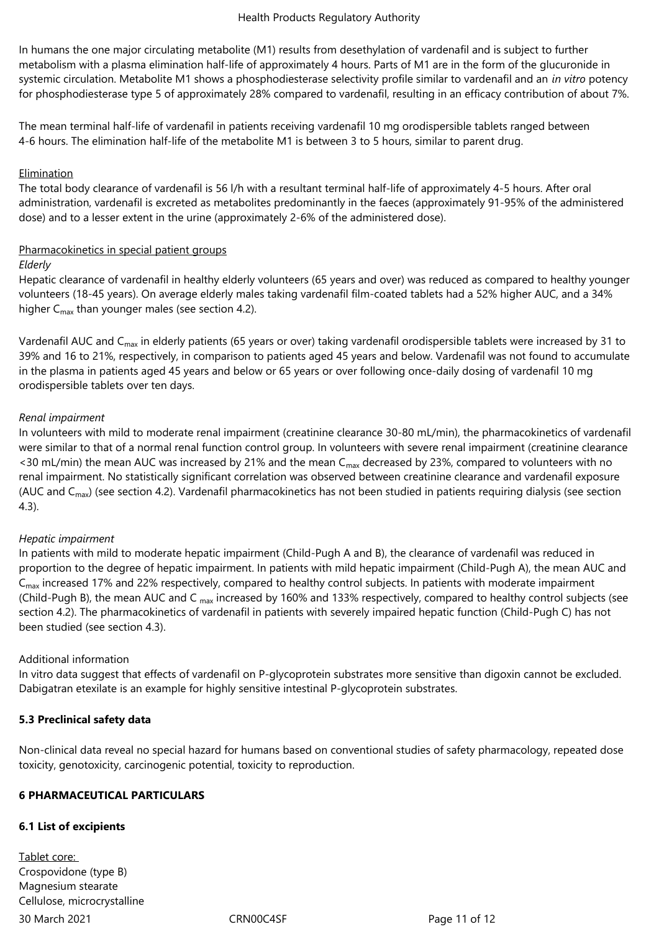In humans the one major circulating metabolite (M1) results from desethylation of vardenafil and is subject to further metabolism with a plasma elimination half-life of approximately 4 hours. Parts of M1 are in the form of the glucuronide in systemic circulation. Metabolite M1 shows a phosphodiesterase selectivity profile similar to vardenafil and an *in vitro* potency for phosphodiesterase type 5 of approximately 28% compared to vardenafil, resulting in an efficacy contribution of about 7%.

The mean terminal half-life of vardenafil in patients receiving vardenafil 10 mg orodispersible tablets ranged between 4-6 hours. The elimination half-life of the metabolite M1 is between 3 to 5 hours, similar to parent drug.

#### Elimination

The total body clearance of vardenafil is 56 l/h with a resultant terminal half-life of approximately 4‑5 hours. After oral administration, vardenafil is excreted as metabolites predominantly in the faeces (approximately 91‑95% of the administered dose) and to a lesser extent in the urine (approximately 2-6% of the administered dose).

#### Pharmacokinetics in special patient groups

#### *Elderly*

Hepatic clearance of vardenafil in healthy elderly volunteers (65 years and over) was reduced as compared to healthy younger volunteers (18‑45 years). On average elderly males taking vardenafil film-coated tablets had a 52% higher AUC, and a 34% higher  $C_{\text{max}}$  than younger males (see section 4.2).

Vardenafil AUC and C<sub>max</sub> in elderly patients (65 years or over) taking vardenafil orodispersible tablets were increased by 31 to 39% and 16 to 21%, respectively, in comparison to patients aged 45 years and below. Vardenafil was not found to accumulate in the plasma in patients aged 45 years and below or 65 years or over following once-daily dosing of vardenafil 10 mg orodispersible tablets over ten days.

#### *Renal impairment*

In volunteers with mild to moderate renal impairment (creatinine clearance 30‑80 mL/min), the pharmacokinetics of vardenafil were similar to that of a normal renal function control group. In volunteers with severe renal impairment (creatinine clearance <30 mL/min) the mean AUC was increased by 21% and the mean  $C_{\text{max}}$  decreased by 23%, compared to volunteers with no renal impairment. No statistically significant correlation was observed between creatinine clearance and vardenafil exposure (AUC and  $C_{\text{max}}$ ) (see section 4.2). Vardenafil pharmacokinetics has not been studied in patients requiring dialysis (see section 4.3).

#### *Hepatic impairment*

In patients with mild to moderate hepatic impairment (Child-Pugh A and B), the clearance of vardenafil was reduced in proportion to the degree of hepatic impairment. In patients with mild hepatic impairment (Child-Pugh A), the mean AUC and  $C_{\text{max}}$  increased 17% and 22% respectively, compared to healthy control subjects. In patients with moderate impairment (Child-Pugh B), the mean AUC and C max increased by 160% and 133% respectively, compared to healthy control subjects (see section 4.2). The pharmacokinetics of vardenafil in patients with severely impaired hepatic function (Child-Pugh C) has not been studied (see section 4.3).

#### Additional information

In vitro data suggest that effects of vardenafil on P-glycoprotein substrates more sensitive than digoxin cannot be excluded. Dabigatran etexilate is an example for highly sensitive intestinal P-glycoprotein substrates.

#### **5.3 Preclinical safety data**

Non-clinical data reveal no special hazard for humans based on conventional studies of safety pharmacology, repeated dose toxicity, genotoxicity, carcinogenic potential, toxicity to reproduction.

# **6 PHARMACEUTICAL PARTICULARS**

#### **6.1 List of excipients**

30 March 2021 CRN00C4SF Page 11 of 12 Tablet core: Crospovidone (type B) Magnesium stearate Cellulose, microcrystalline